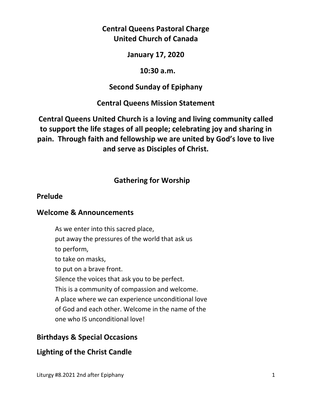## **Central Queens Pastoral Charge United Church of Canada**

### **January 17, 2020**

### **10:30 a.m.**

## **Second Sunday of Epiphany**

## **Central Queens Mission Statement**

# **Central Queens United Church is a loving and living community called to support the life stages of all people; celebrating joy and sharing in pain. Through faith and fellowship we are united by God's love to live and serve as Disciples of Christ.**

# **Gathering for Worship**

## **Prelude**

## **Welcome & Announcements**

As we enter into this sacred place, put away the pressures of the world that ask us to perform, to take on masks, to put on a brave front. Silence the voices that ask you to be perfect. This is a community of compassion and welcome. A place where we can experience unconditional love of God and each other. Welcome in the name of the one who IS unconditional love!

# **Birthdays & Special Occasions**

## **Lighting of the Christ Candle**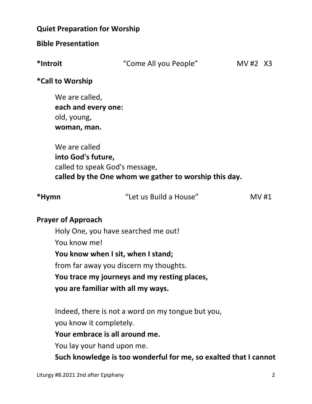## **Quiet Preparation for Worship**

### **Bible Presentation**

| *Introit | "Come All you People" | MV #2 X3 |  |
|----------|-----------------------|----------|--|
|          |                       |          |  |

### **\*Call to Worship**

We are called,  **each and every one:**  old, young,  **woman, man.** 

We are called  **into God's future,**  called to speak God's message,  **called by the One whom we gather to worship this day.** 

| *Hymn | "Let us Build a House" | MV#1 |
|-------|------------------------|------|
|       |                        |      |

## **Prayer of Approach**

Holy One, you have searched me out! You know me!

**You know when I sit, when I stand;** 

from far away you discern my thoughts.

**You trace my journeys and my resting places,** 

 **you are familiar with all my ways.** 

 Indeed, there is not a word on my tongue but you, you know it completely.

## **Your embrace is all around me.**

You lay your hand upon me.

**Such knowledge is too wonderful for me, so exalted that I cannot**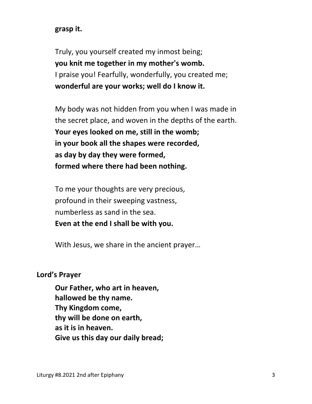## **grasp it.**

 Truly, you yourself created my inmost being; **you knit me together in my mother's womb.**  I praise you! Fearfully, wonderfully, you created me; **wonderful are your works; well do I know it.** 

 My body was not hidden from you when I was made in the secret place, and woven in the depths of the earth. **Your eyes looked on me, still in the womb; in your book all the shapes were recorded, as day by day they were formed, formed where there had been nothing.** 

 To me your thoughts are very precious, profound in their sweeping vastness, numberless as sand in the sea. **Even at the end I shall be with you.** 

With Jesus, we share in the ancient prayer…

#### **Lord's Prayer**

**Our Father, who art in heaven, hallowed be thy name. Thy Kingdom come, thy will be done on earth, as it is in heaven. Give us this day our daily bread;**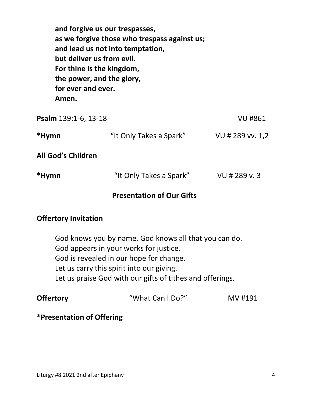| but deliver us from evil.<br>For thine is the kingdom,<br>the power, and the glory,<br>for ever and ever.<br>Amen. | and forgive us our trespasses,<br>as we forgive those who trespass against us;<br>and lead us not into temptation, |                  |
|--------------------------------------------------------------------------------------------------------------------|--------------------------------------------------------------------------------------------------------------------|------------------|
| Psalm 139:1-6, 13-18                                                                                               |                                                                                                                    | <b>VU#861</b>    |
| *Hymn                                                                                                              | "It Only Takes a Spark"                                                                                            | VU # 289 vv. 1,2 |
| <b>All God's Children</b>                                                                                          |                                                                                                                    |                  |

| *Hymn | "It Only Takes a Spark" | VU # 289 v. 3 |
|-------|-------------------------|---------------|
|       |                         |               |

## **Presentation of Our Gifts**

## **Offertory Invitation**

God knows you by name. God knows all that you can do. God appears in your works for justice. God is revealed in our hope for change. Let us carry this spirit into our giving. Let us praise God with our gifts of tithes and offerings.

| <b>Offertory</b><br>"What Can I Do?"<br>MV #191 |  |
|-------------------------------------------------|--|
|-------------------------------------------------|--|

## **\*Presentation of Offering**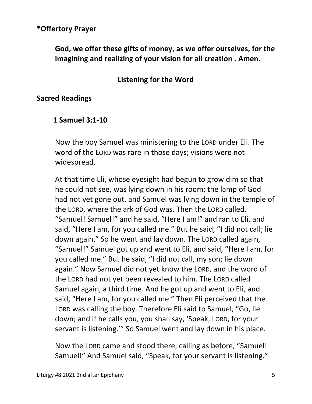## **\*Offertory Prayer**

 **God, we offer these gifts of money, as we offer ourselves, for the imagining and realizing of your vision for all creation . Amen.** 

## **Listening for the Word**

#### **Sacred Readings**

#### **1 Samuel 3:1-10**

Now the boy Samuel was ministering to the LORD under Eli. The word of the LORD was rare in those days; visions were not widespread.

At that time Eli, whose eyesight had begun to grow dim so that he could not see, was lying down in his room; the lamp of God had not yet gone out, and Samuel was lying down in the temple of the LORD, where the ark of God was. Then the LORD called, "Samuel! Samuel!" and he said, "Here I am!" and ran to Eli, and said, "Here I am, for you called me." But he said, "I did not call; lie down again." So he went and lay down. The LORD called again, "Samuel!" Samuel got up and went to Eli, and said, "Here I am, for you called me." But he said, "I did not call, my son; lie down again." Now Samuel did not yet know the LORD, and the word of the LORD had not yet been revealed to him. The LORD called Samuel again, a third time. And he got up and went to Eli, and said, "Here I am, for you called me." Then Eli perceived that the LORD was calling the boy. Therefore Eli said to Samuel, "Go, lie down; and if he calls you, you shall say, 'Speak, LORD, for your servant is listening.'" So Samuel went and lay down in his place.

Now the LORD came and stood there, calling as before, "Samuel! Samuel!" And Samuel said, "Speak, for your servant is listening."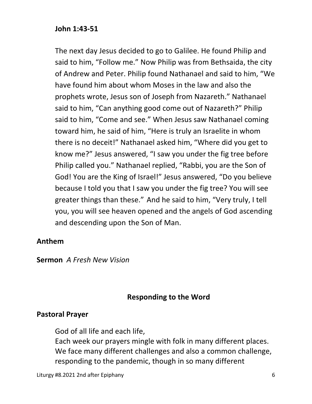## **John 1:43-51**

The next day Jesus decided to go to Galilee. He found Philip and said to him, "Follow me." Now Philip was from Bethsaida, the city of Andrew and Peter. Philip found Nathanael and said to him, "We have found him about whom Moses in the law and also the prophets wrote, Jesus son of Joseph from Nazareth." Nathanael said to him, "Can anything good come out of Nazareth?" Philip said to him, "Come and see." When Jesus saw Nathanael coming toward him, he said of him, "Here is truly an Israelite in whom there is no deceit!" Nathanael asked him, "Where did you get to know me?" Jesus answered, "I saw you under the fig tree before Philip called you." Nathanael replied, "Rabbi, you are the Son of God! You are the King of Israel!" Jesus answered, "Do you believe because I told you that I saw you under the fig tree? You will see greater things than these." And he said to him, "Very truly, I tell you, you will see heaven opened and the angels of God ascending and descending upon the Son of Man.

## **Anthem**

**Sermon** *A Fresh New Vision*

## **Responding to the Word**

## **Pastoral Prayer**

God of all life and each life, Each week our prayers mingle with folk in many different places. We face many different challenges and also a common challenge, responding to the pandemic, though in so many different

Liturgy #8.2021 2nd after Epiphany 6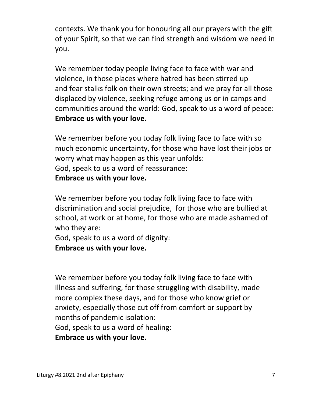contexts. We thank you for honouring all our prayers with the gift of your Spirit, so that we can find strength and wisdom we need in you.

 We remember today people living face to face with war and violence, in those places where hatred has been stirred up and fear stalks folk on their own streets; and we pray for all those displaced by violence, seeking refuge among us or in camps and communities around the world: God, speak to us a word of peace:  **Embrace us with your love.** 

 We remember before you today folk living face to face with so much economic uncertainty, for those who have lost their jobs or worry what may happen as this year unfolds: God, speak to us a word of reassurance:  **Embrace us with your love.** 

 We remember before you today folk living face to face with discrimination and social prejudice, for those who are bullied at school, at work or at home, for those who are made ashamed of who they are:

 God, speak to us a word of dignity:  **Embrace us with your love.** 

 We remember before you today folk living face to face with illness and suffering, for those struggling with disability, made more complex these days, and for those who know grief or anxiety, especially those cut off from comfort or support by months of pandemic isolation:

God, speak to us a word of healing:

 **Embrace us with your love.**